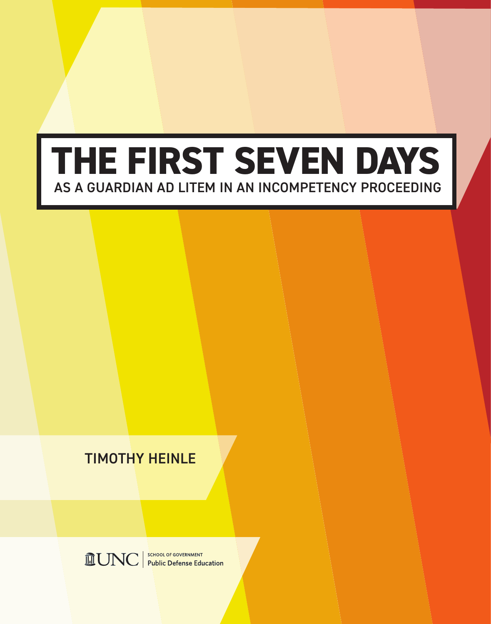# **THE FIRST SEVEN DAYS** AS A GUARDIAN AD LITEM IN AN INCOMPETENCY PROCEEDING

### TIMOTHY HEINLE

**MUNC** Public Defense Education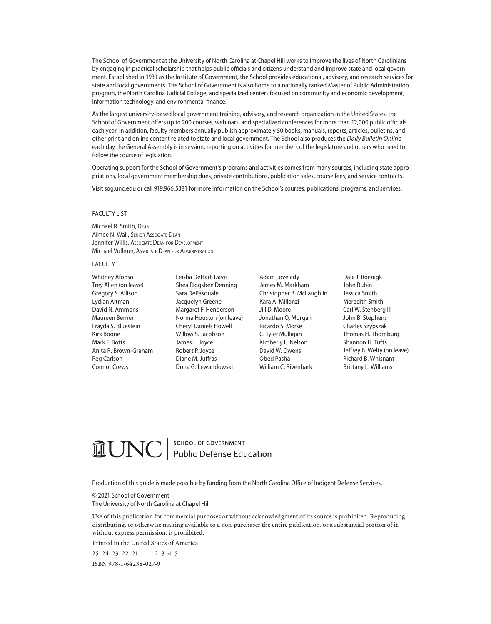The School of Government at the University of North Carolina at Chapel Hill works to improve the lives of North Carolinians by engaging in practical scholarship that helps public officials and citizens understand and improve state and local government. Established in 1931 as the Institute of Government, the School provides educational, advisory, and research services for state and local governments. The School of Government is also home to a nationally ranked Master of Public Administration program, the North Carolina Judicial College, and specialized centers focused on community and economic development, information technology, and environmental finance.

As the largest university-based local government training, advisory, and research organization in the United States, the School of Government offers up to 200 courses, webinars, and specialized conferences for more than 12,000 public officials each year. In addition, faculty members annually publish approximately 50 books, manuals, reports, articles, bulletins, and other print and online content related to state and local government. The School also produces the *Daily Bulletin Online* each day the General Assembly is in session, reporting on activities for members of the legislature and others who need to follow the course of legislation.

Operating support for the School of Government's programs and activities comes from many sources, including state appropriations, local government membership dues, private contributions, publication sales, course fees, and service contracts.

Visit sog.unc.edu or call 919.966.5381 for more information on the School's courses, publications, programs, and services.

#### FACULTY LIST

Michael R. Smith, Dean Aimee N. Wall, Senior Associate Dean Jennifer Willis, Associate DEAN FOR DEVELOPMENT Michael Vollmer, Associate Dean for Administration

#### FACULTY

Whitney Afonso Trey Allen (on leave) Gregory S. Allison Lydian Altman David N. Ammons Maureen Berner Frayda S. Bluestein Kirk Boone Mark F. Botts Anita R. Brown-Graham Peg Carlson Connor Crews

Leisha DeHart-Davis Shea Riggsbee Denning Sara DePasquale Jacquelyn Greene Margaret F. Henderson Norma Houston (on leave) Cheryl Daniels Howell Willow S. Jacobson James L. Joyce Robert P. Joyce Diane M. Juffras Dona G. Lewandowski

Adam Lovelady James M. Markham Christopher B. McLaughlin Kara A. Millonzi Jill D. Moore Jonathan Q. Morgan Ricardo S. Morse C. Tyler Mulligan Kimberly L. Nelson David W. Owens Obed Pasha William C. Rivenbark

Dale J. Roenigk John Rubin Jessica Smith Meredith Smith Carl W. Stenberg III John B. Stephens Charles Szypszak Thomas H. Thornburg Shannon H. Tufts Jeffrey B. Welty (on leave) Richard B. Whisnant Brittany L. Williams

## **MUNC** | SCHOOL OF GOVERNMENT

Production of this guide is made possible by funding from the North Carolina Office of Indigent Defense Services.

© 2021 School of Government The University of North Carolina at Chapel Hill

Use of this publication for commercial purposes or without acknowledgment of its source is prohibited. Reproducing, distributing, or otherwise making available to a non-purchaser the entire publication, or a substantial portion of it, without express permission, is prohibited.

Printed in the United States of America

25 24 23 22 21 1 2 3 4 5 ISBN 978-1-64238-027-9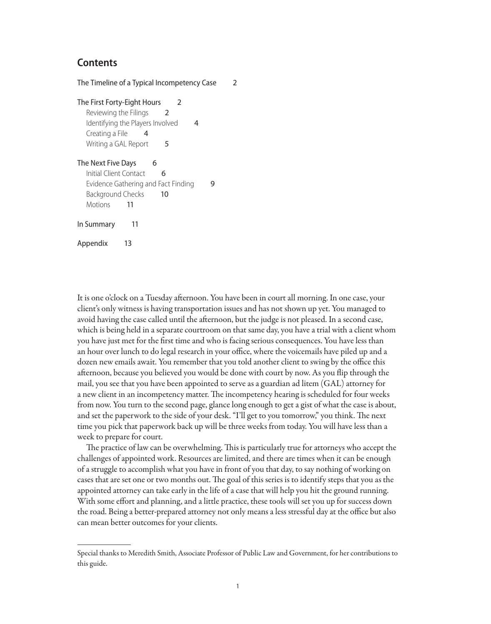### **Contents**

The Timeline of a Typical Incompetency Case 2 The First Forty-Eight Hours 2 Reviewing the Filings 2 Identifying the Players Involved 4 Creating a File 4 Writing a GAL Report 5 The Next Five Days 6 Initial Client Contact 6 Evidence Gathering and Fact Finding 9 Background Checks 10 Motions 11 In Summary 11 Appendix 13

It is one o'clock on a Tuesday afternoon. You have been in court all morning. In one case, your client's only witness is having transportation issues and has not shown up yet. You managed to avoid having the case called until the afternoon, but the judge is not pleased. In a second case, which is being held in a separate courtroom on that same day, you have a trial with a client whom you have just met for the first time and who is facing serious consequences. You have less than an hour over lunch to do legal research in your office, where the voicemails have piled up and a dozen new emails await. You remember that you told another client to swing by the office this afternoon, because you believed you would be done with court by now. As you flip through the mail, you see that you have been appointed to serve as a guardian ad litem (GAL) attorney for a new client in an incompetency matter. The incompetency hearing is scheduled for four weeks from now. You turn to the second page, glance long enough to get a gist of what the case is about, and set the paperwork to the side of your desk. "I'll get to you tomorrow," you think. The next time you pick that paperwork back up will be three weeks from today. You will have less than a week to prepare for court.

The practice of law can be overwhelming. This is particularly true for attorneys who accept the challenges of appointed work. Resources are limited, and there are times when it can be enough of a struggle to accomplish what you have in front of you that day, to say nothing of working on cases that are set one or two months out. The goal of this series is to identify steps that you as the appointed attorney can take early in the life of a case that will help you hit the ground running. With some effort and planning, and a little practice, these tools will set you up for success down the road. Being a better-prepared attorney not only means a less stressful day at the office but also can mean better outcomes for your clients.

Special thanks to Meredith Smith, Associate Professor of Public Law and Government, for her contributions to this guide.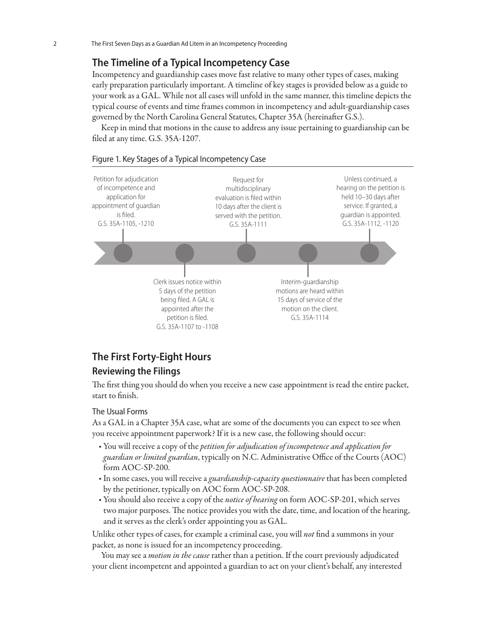### **The Timeline of a Typical Incompetency Case**

Incompetency and guardianship cases move fast relative to many other types of cases, making early preparation particularly important. A timeline of key stages is provided below as a guide to your work as a GAL. While not all cases will unfold in the same manner, this timeline depicts the typical course of events and time frames common in incompetency and adult-guardianship cases governed by the North Carolina General Statutes, Chapter 35A (hereinafter G.S.).

Keep in mind that motions in the cause to address any issue pertaining to guardianship can be filed at any time. G.S. 35A-1207.





### **The First Forty-Eight Hours**

### **Reviewing the Filings**

The first thing you should do when you receive a new case appointment is read the entire packet, start to finish.

### The Usual Forms

As a GAL in a Chapter 35A case, what are some of the documents you can expect to see when you receive appointment paperwork? If it is a new case, the following should occur:

- **•** You will receive a copy of the *petition for adjudication of incompetence and application for guardian or limited guardian*, typically on N.C. Administrative Office of the Courts (AOC) form AOC-SP-200.
- **•** In some cases, you will receive a *guardianship-capacity questionnaire* that has been completed by the petitioner, typically on AOC form AOC-SP-208.
- **•** You should also receive a copy of the *notice of hearing* on form AOC-SP-201, which serves two major purposes. The notice provides you with the date, time, and location of the hearing, and it serves as the clerk's order appointing you as GAL.

Unlike other types of cases, for example a criminal case, you will *not* find a summons in your packet, as none is issued for an incompetency proceeding.

You may see a *motion in the cause* rather than a petition. If the court previously adjudicated your client incompetent and appointed a guardian to act on your client's behalf, any interested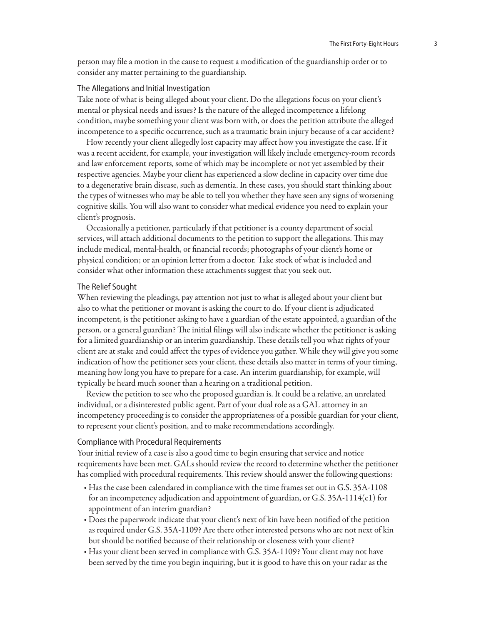person may file a motion in the cause to request a modification of the guardianship order or to consider any matter pertaining to the guardianship.

### The Allegations and Initial Investigation

Take note of what is being alleged about your client. Do the allegations focus on your client's mental or physical needs and issues? Is the nature of the alleged incompetence a lifelong condition, maybe something your client was born with, or does the petition attribute the alleged incompetence to a specific occurrence, such as a traumatic brain injury because of a car accident?

How recently your client allegedly lost capacity may affect how you investigate the case. If it was a recent accident, for example, your investigation will likely include emergency-room records and law enforcement reports, some of which may be incomplete or not yet assembled by their respective agencies. Maybe your client has experienced a slow decline in capacity over time due to a degenerative brain disease, such as dementia. In these cases, you should start thinking about the types of witnesses who may be able to tell you whether they have seen any signs of worsening cognitive skills. You will also want to consider what medical evidence you need to explain your client's prognosis.

Occasionally a petitioner, particularly if that petitioner is a county department of social services, will attach additional documents to the petition to support the allegations. This may include medical, mental-health, or financial records; photographs of your client's home or physical condition; or an opinion letter from a doctor. Take stock of what is included and consider what other information these attachments suggest that you seek out.

### The Relief Sought

When reviewing the pleadings, pay attention not just to what is alleged about your client but also to what the petitioner or movant is asking the court to do. If your client is adjudicated incompetent, is the petitioner asking to have a guardian of the estate appointed, a guardian of the person, or a general guardian? The initial filings will also indicate whether the petitioner is asking for a limited guardianship or an interim guardianship. These details tell you what rights of your client are at stake and could affect the types of evidence you gather. While they will give you some indication of how the petitioner sees your client, these details also matter in terms of your timing, meaning how long you have to prepare for a case. An interim guardianship, for example, will typically be heard much sooner than a hearing on a traditional petition.

Review the petition to see who the proposed guardian is. It could be a relative, an unrelated individual, or a disinterested public agent. Part of your dual role as a GAL attorney in an incompetency proceeding is to consider the appropriateness of a possible guardian for your client, to represent your client's position, and to make recommendations accordingly.

### Compliance with Procedural Requirements

Your initial review of a case is also a good time to begin ensuring that service and notice requirements have been met. GALs should review the record to determine whether the petitioner has complied with procedural requirements. This review should answer the following questions:

- **•** Has the case been calendared in compliance with the time frames set out in G.S. 35A-1108 for an incompetency adjudication and appointment of guardian, or G.S. 35A-1114(c1) for appointment of an interim guardian?
- **•** Does the paperwork indicate that your client's next of kin have been notified of the petition as required under G.S. 35A-1109? Are there other interested persons who are not next of kin but should be notified because of their relationship or closeness with your client?
- **•** Has your client been served in compliance with G.S. 35A-1109? Your client may not have been served by the time you begin inquiring, but it is good to have this on your radar as the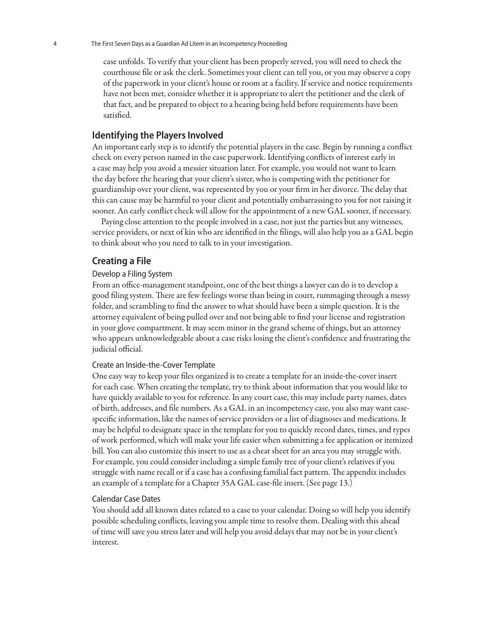case unfolds. To verify that your client has been properly served, you will need to check the courthouse file or ask the clerk. Sometimes your client can tell you, or you may observe a copy of the paperwork in your client's house or room at a facility. If service and notice requirements have not been met, consider whether it is appropriate to alert the petitioner and the clerk of that fact, and be prepared to object to a hearing being held before requirements have been satisfied.

### **Identifying the Players Involved**

An important early step is to identify the potential players in the case. Begin by running a conflict check on every person named in the case paperwork. Identifying conflicts of interest early in a case may help you avoid a messier situation later. For example, you would not want to learn the day before the hearing that your client's sister, who is competing with the petitioner for guardianship over your client, was represented by you or your firm in her divorce. The delay that this can cause may be harmful to your client and potentially embarrassing to you for not raising it sooner. An early conflict check will allow for the appointment of a new GAL sooner, if necessary.

Paying close attention to the people involved in a case, not just the parties but any witnesses, service providers, or next of kin who are identified in the filings, will also help you as a GAL begin to think about who you need to talk to in your investigation.

### **Creating a File**

### Develop a Filing System

From an office-management standpoint, one of the best things a lawyer can do is to develop a good filing system. There are few feelings worse than being in court, rummaging through a messy folder, and scrambling to find the answer to what should have been a simple question. It is the attorney equivalent of being pulled over and not being able to find your license and registration in your glove compartment. It may seem minor in the grand scheme of things, but an attorney who appears unknowledgeable about a case risks losing the client's confidence and frustrating the judicial official.

### Create an Inside-the-Cover Template

One easy way to keep your files organized is to create a template for an inside-the-cover insert for each case. When creating the template, try to think about information that you would like to have quickly available to you for reference. In any court case, this may include party names, dates of birth, addresses, and file numbers. As a GAL in an incompetency case, you also may want casespecific information, like the names of service providers or a list of diagnoses and medications. It may be helpful to designate space in the template for you to quickly record dates, times, and types of work performed, which will make your life easier when submitting a fee application or itemized bill. You can also customize this insert to use as a cheat sheet for an area you may struggle with. For example, you could consider including a simple family tree of your client's relatives if you struggle with name recall or if a case has a confusing familial fact pattern. The appendix includes an example of a template for a Chapter 35A GAL case-file insert. (See page 13.)

#### Calendar Case Dates

You should add all known dates related to a case to your calendar. Doing so will help you identify possible scheduling conflicts, leaving you ample time to resolve them. Dealing with this ahead of time will save you stress later and will help you avoid delays that may not be in your client's interest.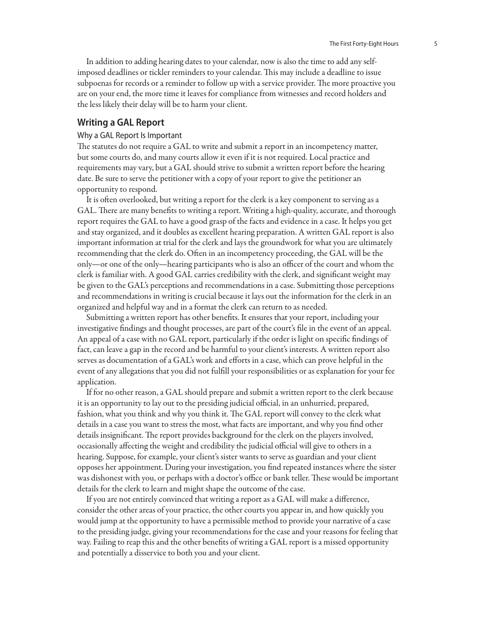In addition to adding hearing dates to your calendar, now is also the time to add any selfimposed deadlines or tickler reminders to your calendar. This may include a deadline to issue subpoenas for records or a reminder to follow up with a service provider. The more proactive you are on your end, the more time it leaves for compliance from witnesses and record holders and the less likely their delay will be to harm your client.

### **Writing a GAL Report**

### Why a GAL Report Is Important

The statutes do not require a GAL to write and submit a report in an incompetency matter, but some courts do, and many courts allow it even if it is not required. Local practice and requirements may vary, but a GAL should strive to submit a written report before the hearing date. Be sure to serve the petitioner with a copy of your report to give the petitioner an opportunity to respond.

It is often overlooked, but writing a report for the clerk is a key component to serving as a GAL. There are many benefits to writing a report. Writing a high-quality, accurate, and thorough report requires the GAL to have a good grasp of the facts and evidence in a case. It helps you get and stay organized, and it doubles as excellent hearing preparation. A written GAL report is also important information at trial for the clerk and lays the groundwork for what you are ultimately recommending that the clerk do. Often in an incompetency proceeding, the GAL will be the only—or one of the only—hearing participants who is also an officer of the court and whom the clerk is familiar with. A good GAL carries credibility with the clerk, and significant weight may be given to the GAL's perceptions and recommendations in a case. Submitting those perceptions and recommendations in writing is crucial because it lays out the information for the clerk in an organized and helpful way and in a format the clerk can return to as needed.

Submitting a written report has other benefits. It ensures that your report, including your investigative findings and thought processes, are part of the court's file in the event of an appeal. An appeal of a case with no GAL report, particularly if the order is light on specific findings of fact, can leave a gap in the record and be harmful to your client's interests. A written report also serves as documentation of a GAL's work and efforts in a case, which can prove helpful in the event of any allegations that you did not fulfill your responsibilities or as explanation for your fee application.

If for no other reason, a GAL should prepare and submit a written report to the clerk because it is an opportunity to lay out to the presiding judicial official, in an unhurried, prepared, fashion, what you think and why you think it. The GAL report will convey to the clerk what details in a case you want to stress the most, what facts are important, and why you find other details insignificant. The report provides background for the clerk on the players involved, occasionally affecting the weight and credibility the judicial official will give to others in a hearing. Suppose, for example, your client's sister wants to serve as guardian and your client opposes her appointment. During your investigation, you find repeated instances where the sister was dishonest with you, or perhaps with a doctor's office or bank teller. These would be important details for the clerk to learn and might shape the outcome of the case.

If you are not entirely convinced that writing a report as a GAL will make a difference, consider the other areas of your practice, the other courts you appear in, and how quickly you would jump at the opportunity to have a permissible method to provide your narrative of a case to the presiding judge, giving your recommendations for the case and your reasons for feeling that way. Failing to reap this and the other benefits of writing a GAL report is a missed opportunity and potentially a disservice to both you and your client.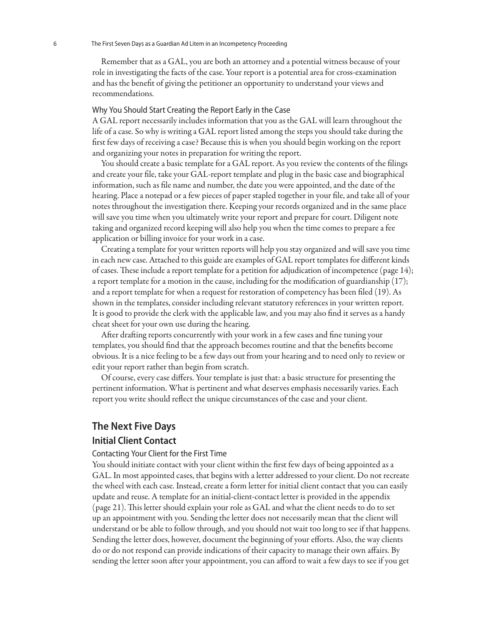Remember that as a GAL, you are both an attorney and a potential witness because of your role in investigating the facts of the case. Your report is a potential area for cross-examination and has the benefit of giving the petitioner an opportunity to understand your views and recommendations.

### Why You Should Start Creating the Report Early in the Case

A GAL report necessarily includes information that you as the GAL will learn throughout the life of a case. So why is writing a GAL report listed among the steps you should take during the first few days of receiving a case? Because this is when you should begin working on the report and organizing your notes in preparation for writing the report.

You should create a basic template for a GAL report. As you review the contents of the filings and create your file, take your GAL-report template and plug in the basic case and biographical information, such as file name and number, the date you were appointed, and the date of the hearing. Place a notepad or a few pieces of paper stapled together in your file, and take all of your notes throughout the investigation there. Keeping your records organized and in the same place will save you time when you ultimately write your report and prepare for court. Diligent note taking and organized record keeping will also help you when the time comes to prepare a fee application or billing invoice for your work in a case.

Creating a template for your written reports will help you stay organized and will save you time in each new case. Attached to this guide are examples of GAL report templates for different kinds of cases. These include a report template for a petition for adjudication of incompetence (page 14); a report template for a motion in the cause, including for the modification of guardianship (17); and a report template for when a request for restoration of competency has been filed (19). As shown in the templates, consider including relevant statutory references in your written report. It is good to provide the clerk with the applicable law, and you may also find it serves as a handy cheat sheet for your own use during the hearing.

After drafting reports concurrently with your work in a few cases and fine tuning your templates, you should find that the approach becomes routine and that the benefits become obvious. It is a nice feeling to be a few days out from your hearing and to need only to review or edit your report rather than begin from scratch.

Of course, every case differs. Your template is just that: a basic structure for presenting the pertinent information. What is pertinent and what deserves emphasis necessarily varies. Each report you write should reflect the unique circumstances of the case and your client.

### **The Next Five Days Initial Client Contact**

#### Contacting Your Client for the First Time

You should initiate contact with your client within the first few days of being appointed as a GAL. In most appointed cases, that begins with a letter addressed to your client. Do not recreate the wheel with each case. Instead, create a form letter for initial client contact that you can easily update and reuse. A template for an initial-client-contact letter is provided in the appendix (page 21). This letter should explain your role as GAL and what the client needs to do to set up an appointment with you. Sending the letter does not necessarily mean that the client will understand or be able to follow through, and you should not wait too long to see if that happens. Sending the letter does, however, document the beginning of your efforts. Also, the way clients do or do not respond can provide indications of their capacity to manage their own affairs. By sending the letter soon after your appointment, you can afford to wait a few days to see if you get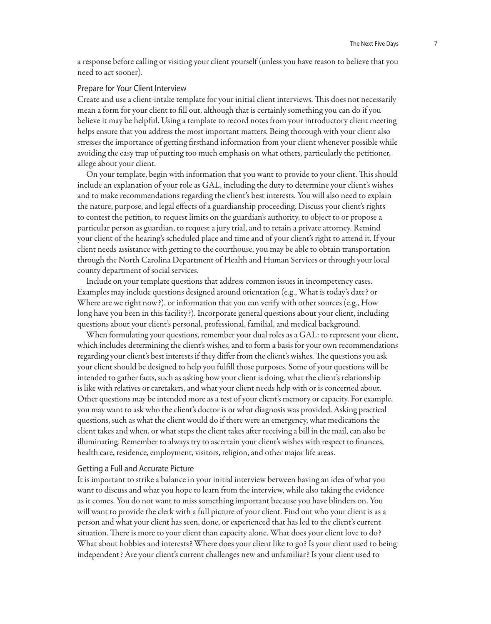a response before calling or visiting your client yourself (unless you have reason to believe that you need to act sooner).

### Prepare for Your Client Interview

Create and use a client-intake template for your initial client interviews. This does not necessarily mean a form for your client to fill out, although that is certainly something you can do if you believe it may be helpful. Using a template to record notes from your introductory client meeting helps ensure that you address the most important matters. Being thorough with your client also stresses the importance of getting firsthand information from your client whenever possible while avoiding the easy trap of putting too much emphasis on what others, particularly the petitioner, allege about your client.

On your template, begin with information that you want to provide to your client. This should include an explanation of your role as GAL, including the duty to determine your client's wishes and to make recommendations regarding the client's best interests. You will also need to explain the nature, purpose, and legal effects of a guardianship proceeding. Discuss your client's rights to contest the petition, to request limits on the guardian's authority, to object to or propose a particular person as guardian, to request a jury trial, and to retain a private attorney. Remind your client of the hearing's scheduled place and time and of your client's right to attend it. If your client needs assistance with getting to the courthouse, you may be able to obtain transportation through the North Carolina Department of Health and Human Services or through your local county department of social services.

Include on your template questions that address common issues in incompetency cases. Examples may include questions designed around orientation (e.g., What is today's date? or Where are we right now?), or information that you can verify with other sources (e.g., How long have you been in this facility?). Incorporate general questions about your client, including questions about your client's personal, professional, familial, and medical background.

When formulating your questions, remember your dual roles as a GAL: to represent your client, which includes determining the client's wishes, and to form a basis for your own recommendations regarding your client's best interests if they differ from the client's wishes. The questions you ask your client should be designed to help you fulfill those purposes. Some of your questions will be intended to gather facts, such as asking how your client is doing, what the client's relationship is like with relatives or caretakers, and what your client needs help with or is concerned about. Other questions may be intended more as a test of your client's memory or capacity. For example, you may want to ask who the client's doctor is or what diagnosis was provided. Asking practical questions, such as what the client would do if there were an emergency, what medications the client takes and when, or what steps the client takes after receiving a bill in the mail, can also be illuminating. Remember to always try to ascertain your client's wishes with respect to finances, health care, residence, employment, visitors, religion, and other major life areas.

#### Getting a Full and Accurate Picture

It is important to strike a balance in your initial interview between having an idea of what you want to discuss and what you hope to learn from the interview, while also taking the evidence as it comes. You do not want to miss something important because you have blinders on. You will want to provide the clerk with a full picture of your client. Find out who your client is as a person and what your client has seen, done, or experienced that has led to the client's current situation. There is more to your client than capacity alone. What does your client love to do? What about hobbies and interests? Where does your client like to go? Is your client used to being independent? Are your client's current challenges new and unfamiliar? Is your client used to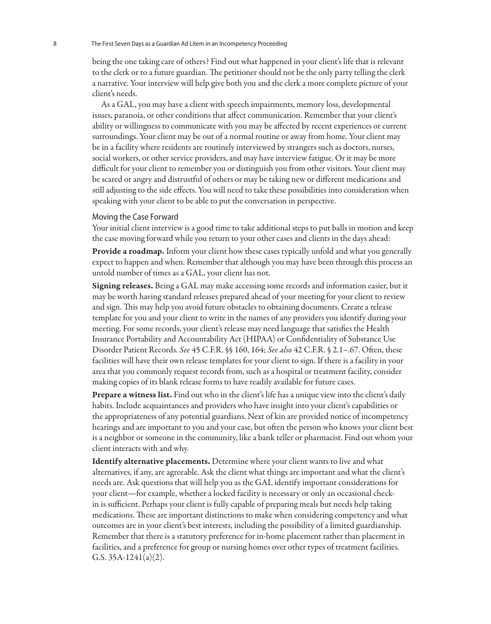being the one taking care of others? Find out what happened in your client's life that is relevant to the clerk or to a future guardian. The petitioner should not be the only party telling the clerk a narrative. Your interview will help give both you and the clerk a more complete picture of your client's needs.

As a GAL, you may have a client with speech impairments, memory loss, developmental issues, paranoia, or other conditions that affect communication. Remember that your client's ability or willingness to communicate with you may be affected by recent experiences or current surroundings. Your client may be out of a normal routine or away from home. Your client may be in a facility where residents are routinely interviewed by strangers such as doctors, nurses, social workers, or other service providers, and may have interview fatigue. Or it may be more difficult for your client to remember you or distinguish you from other visitors. Your client may be scared or angry and distrustful of others or may be taking new or different medications and still adjusting to the side effects. You will need to take these possibilities into consideration when speaking with your client to be able to put the conversation in perspective.

### Moving the Case Forward

Your initial client interview is a good time to take additional steps to put balls in motion and keep the case moving forward while you return to your other cases and clients in the days ahead:

**Provide a roadmap.** Inform your client how these cases typically unfold and what you generally expect to happen and when. Remember that although you may have been through this process an untold number of times as a GAL, your client has not.

Signing releases. Being a GAL may make accessing some records and information easier, but it may be worth having standard releases prepared ahead of your meeting for your client to review and sign. This may help you avoid future obstacles to obtaining documents. Create a release template for you and your client to write in the names of any providers you identify during your meeting. For some records, your client's release may need language that satisfies the Health Insurance Portability and Accountability Act (HIPAA) or Confidentiality of Substance Use Disorder Patient Records. *See* 45 C.F.R. §§ 160, 164; *See also* 42 C.F.R. § 2.1–.67. Often, these facilities will have their own release templates for your client to sign. If there is a facility in your area that you commonly request records from, such as a hospital or treatment facility, consider making copies of its blank release forms to have readily available for future cases.

Prepare a witness list. Find out who in the client's life has a unique view into the client's daily habits. Include acquaintances and providers who have insight into your client's capabilities or the appropriateness of any potential guardians. Next of kin are provided notice of incompetency hearings and are important to you and your case, but often the person who knows your client best is a neighbor or someone in the community, like a bank teller or pharmacist. Find out whom your client interacts with and why.

Identify alternative placements. Determine where your client wants to live and what alternatives, if any, are agreeable. Ask the client what things are important and what the client's needs are. Ask questions that will help you as the GAL identify important considerations for your client—for example, whether a locked facility is necessary or only an occasional checkin is sufficient. Perhaps your client is fully capable of preparing meals but needs help taking medications. These are important distinctions to make when considering competency and what outcomes are in your client's best interests, including the possibility of a limited guardianship. Remember that there is a statutory preference for in-home placement rather than placement in facilities, and a preference for group or nursing homes over other types of treatment facilities. G.S.  $35A-1241(a)(2)$ .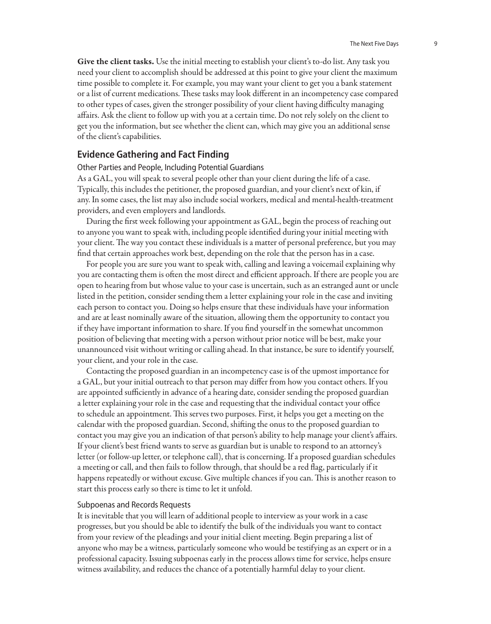Give the client tasks. Use the initial meeting to establish your client's to-do list. Any task you need your client to accomplish should be addressed at this point to give your client the maximum time possible to complete it. For example, you may want your client to get you a bank statement or a list of current medications. These tasks may look different in an incompetency case compared to other types of cases, given the stronger possibility of your client having difficulty managing affairs. Ask the client to follow up with you at a certain time. Do not rely solely on the client to get you the information, but see whether the client can, which may give you an additional sense of the client's capabilities.

### **Evidence Gathering and Fact Finding**

Other Parties and People, Including Potential Guardians

As a GAL, you will speak to several people other than your client during the life of a case. Typically, this includes the petitioner, the proposed guardian, and your client's next of kin, if any. In some cases, the list may also include social workers, medical and mental-health-treatment providers, and even employers and landlords.

During the first week following your appointment as GAL, begin the process of reaching out to anyone you want to speak with, including people identified during your initial meeting with your client. The way you contact these individuals is a matter of personal preference, but you may find that certain approaches work best, depending on the role that the person has in a case.

For people you are sure you want to speak with, calling and leaving a voicemail explaining why you are contacting them is often the most direct and efficient approach. If there are people you are open to hearing from but whose value to your case is uncertain, such as an estranged aunt or uncle listed in the petition, consider sending them a letter explaining your role in the case and inviting each person to contact you. Doing so helps ensure that these individuals have your information and are at least nominally aware of the situation, allowing them the opportunity to contact you if they have important information to share. If you find yourself in the somewhat uncommon position of believing that meeting with a person without prior notice will be best, make your unannounced visit without writing or calling ahead. In that instance, be sure to identify yourself, your client, and your role in the case.

Contacting the proposed guardian in an incompetency case is of the upmost importance for a GAL, but your initial outreach to that person may differ from how you contact others. If you are appointed sufficiently in advance of a hearing date, consider sending the proposed guardian a letter explaining your role in the case and requesting that the individual contact your office to schedule an appointment. This serves two purposes. First, it helps you get a meeting on the calendar with the proposed guardian. Second, shifting the onus to the proposed guardian to contact you may give you an indication of that person's ability to help manage your client's affairs. If your client's best friend wants to serve as guardian but is unable to respond to an attorney's letter (or follow-up letter, or telephone call), that is concerning. If a proposed guardian schedules a meeting or call, and then fails to follow through, that should be a red flag, particularly if it happens repeatedly or without excuse. Give multiple chances if you can. This is another reason to start this process early so there is time to let it unfold.

### Subpoenas and Records Requests

It is inevitable that you will learn of additional people to interview as your work in a case progresses, but you should be able to identify the bulk of the individuals you want to contact from your review of the pleadings and your initial client meeting. Begin preparing a list of anyone who may be a witness, particularly someone who would be testifying as an expert or in a professional capacity. Issuing subpoenas early in the process allows time for service, helps ensure witness availability, and reduces the chance of a potentially harmful delay to your client.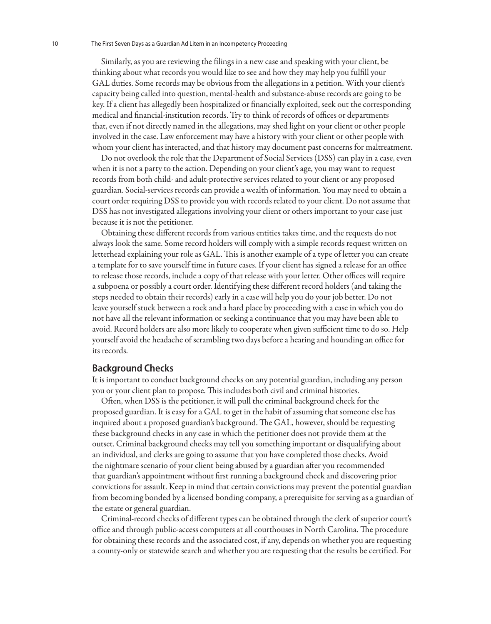Similarly, as you are reviewing the filings in a new case and speaking with your client, be thinking about what records you would like to see and how they may help you fulfill your GAL duties. Some records may be obvious from the allegations in a petition. With your client's capacity being called into question, mental-health and substance-abuse records are going to be key. If a client has allegedly been hospitalized or financially exploited, seek out the corresponding medical and financial-institution records. Try to think of records of offices or departments that, even if not directly named in the allegations, may shed light on your client or other people involved in the case. Law enforcement may have a history with your client or other people with whom your client has interacted, and that history may document past concerns for maltreatment.

Do not overlook the role that the Department of Social Services (DSS) can play in a case, even when it is not a party to the action. Depending on your client's age, you may want to request records from both child- and adult-protective services related to your client or any proposed guardian. Social-services records can provide a wealth of information. You may need to obtain a court order requiring DSS to provide you with records related to your client. Do not assume that DSS has not investigated allegations involving your client or others important to your case just because it is not the petitioner.

Obtaining these different records from various entities takes time, and the requests do not always look the same. Some record holders will comply with a simple records request written on letterhead explaining your role as GAL. This is another example of a type of letter you can create a template for to save yourself time in future cases. If your client has signed a release for an office to release those records, include a copy of that release with your letter. Other offices will require a subpoena or possibly a court order. Identifying these different record holders (and taking the steps needed to obtain their records) early in a case will help you do your job better. Do not leave yourself stuck between a rock and a hard place by proceeding with a case in which you do not have all the relevant information or seeking a continuance that you may have been able to avoid. Record holders are also more likely to cooperate when given sufficient time to do so. Help yourself avoid the headache of scrambling two days before a hearing and hounding an office for its records.

### **Background Checks**

It is important to conduct background checks on any potential guardian, including any person you or your client plan to propose. This includes both civil and criminal histories.

Often, when DSS is the petitioner, it will pull the criminal background check for the proposed guardian. It is easy for a GAL to get in the habit of assuming that someone else has inquired about a proposed guardian's background. The GAL, however, should be requesting these background checks in any case in which the petitioner does not provide them at the outset. Criminal background checks may tell you something important or disqualifying about an individual, and clerks are going to assume that you have completed those checks. Avoid the nightmare scenario of your client being abused by a guardian after you recommended that guardian's appointment without first running a background check and discovering prior convictions for assault. Keep in mind that certain convictions may prevent the potential guardian from becoming bonded by a licensed bonding company, a prerequisite for serving as a guardian of the estate or general guardian.

Criminal-record checks of different types can be obtained through the clerk of superior court's office and through public-access computers at all courthouses in North Carolina. The procedure for obtaining these records and the associated cost, if any, depends on whether you are requesting a county-only or statewide search and whether you are requesting that the results be certified. For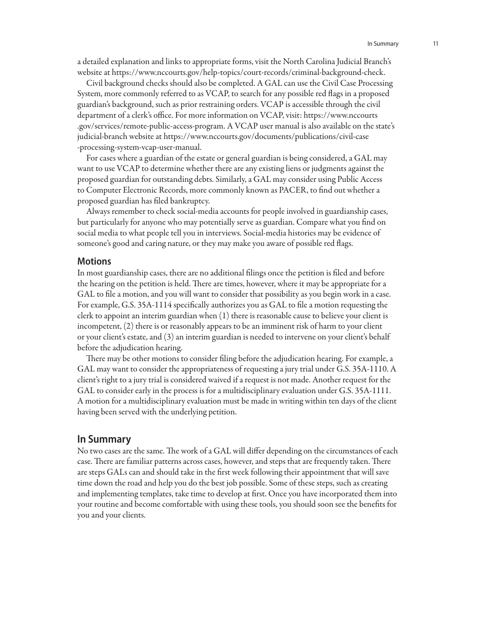a detailed explanation and links to appropriate forms, visit the North Carolina Judicial Branch's website at https://www.nccourts.gov/help-topics/court-records/criminal-background-check.

Civil background checks should also be completed. A GAL can use the Civil Case Processing System, more commonly referred to as VCAP, to search for any possible red flags in a proposed guardian's background, such as prior restraining orders. VCAP is accessible through the civil department of a clerk's office. For more information on VCAP, visit: https://www.nccourts .gov/services/remote-public-access-program. A VCAP user manual is also available on the state's judicial-branch website at https://www.nccourts.gov/documents/publications/civil-case -processing-system-vcap-user-manual.

For cases where a guardian of the estate or general guardian is being considered, a GAL may want to use VCAP to determine whether there are any existing liens or judgments against the proposed guardian for outstanding debts. Similarly, a GAL may consider using Public Access to Computer Electronic Records, more commonly known as PACER, to find out whether a proposed guardian has filed bankruptcy.

Always remember to check social-media accounts for people involved in guardianship cases, but particularly for anyone who may potentially serve as guardian. Compare what you find on social media to what people tell you in interviews. Social-media histories may be evidence of someone's good and caring nature, or they may make you aware of possible red flags.

### **Motions**

In most guardianship cases, there are no additional filings once the petition is filed and before the hearing on the petition is held. There are times, however, where it may be appropriate for a GAL to file a motion, and you will want to consider that possibility as you begin work in a case. For example, G.S. 35A-1114 specifically authorizes you as GAL to file a motion requesting the clerk to appoint an interim guardian when (1) there is reasonable cause to believe your client is incompetent, (2) there is or reasonably appears to be an imminent risk of harm to your client or your client's estate, and (3) an interim guardian is needed to intervene on your client's behalf before the adjudication hearing.

There may be other motions to consider filing before the adjudication hearing. For example, a GAL may want to consider the appropriateness of requesting a jury trial under G.S. 35A-1110. A client's right to a jury trial is considered waived if a request is not made. Another request for the GAL to consider early in the process is for a multidisciplinary evaluation under G.S. 35A-1111. A motion for a multidisciplinary evaluation must be made in writing within ten days of the client having been served with the underlying petition.

### **In Summary**

No two cases are the same. The work of a GAL will differ depending on the circumstances of each case. There are familiar patterns across cases, however, and steps that are frequently taken. There are steps GALs can and should take in the first week following their appointment that will save time down the road and help you do the best job possible. Some of these steps, such as creating and implementing templates, take time to develop at first. Once you have incorporated them into your routine and become comfortable with using these tools, you should soon see the benefits for you and your clients.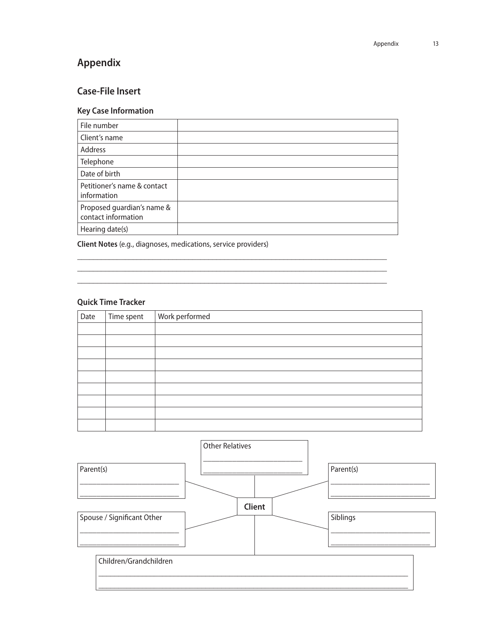### **Appendix**

### **Case-File Insert**

### **Key Case Information**

| File number                                       |  |
|---------------------------------------------------|--|
| Client's name                                     |  |
| Address                                           |  |
| Telephone                                         |  |
| Date of birth                                     |  |
| Petitioner's name & contact<br>information        |  |
| Proposed guardian's name &<br>contact information |  |
| Hearing date(s)                                   |  |

\_\_\_\_\_\_\_\_\_\_\_\_\_\_\_\_\_\_\_\_\_\_\_\_\_\_\_\_\_\_\_\_\_\_\_\_\_\_\_\_\_\_\_\_\_\_\_\_\_\_\_\_\_\_\_\_\_\_\_\_\_\_\_\_\_\_\_\_\_\_\_\_\_\_\_\_\_\_ \_\_\_\_\_\_\_\_\_\_\_\_\_\_\_\_\_\_\_\_\_\_\_\_\_\_\_\_\_\_\_\_\_\_\_\_\_\_\_\_\_\_\_\_\_\_\_\_\_\_\_\_\_\_\_\_\_\_\_\_\_\_\_\_\_\_\_\_\_\_\_\_\_\_\_\_\_\_ \_\_\_\_\_\_\_\_\_\_\_\_\_\_\_\_\_\_\_\_\_\_\_\_\_\_\_\_\_\_\_\_\_\_\_\_\_\_\_\_\_\_\_\_\_\_\_\_\_\_\_\_\_\_\_\_\_\_\_\_\_\_\_\_\_\_\_\_\_\_\_\_\_\_\_\_\_\_

**Client Notes** (e.g., diagnoses, medications, service providers)

### **Quick Time Tracker**

| Date | Time spent | Work performed |
|------|------------|----------------|
|      |            |                |
|      |            |                |
|      |            |                |
|      |            |                |
|      |            |                |
|      |            |                |
|      |            |                |
|      |            |                |
|      |            |                |

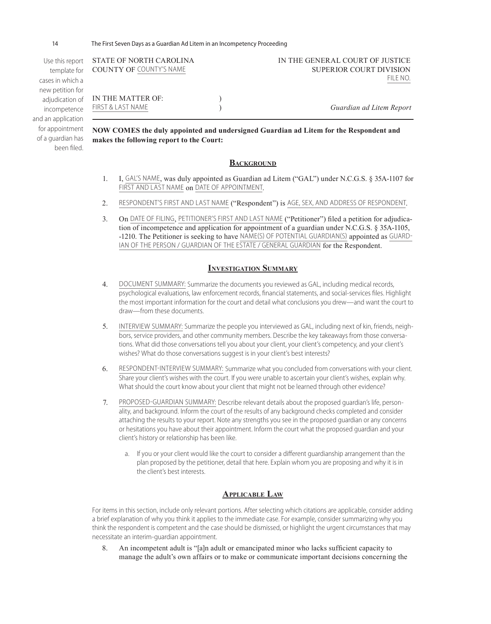14 The First Seven Days as a Guardian Ad Litem in an Incompetency Proceeding

of a guardian has been filed.

| Use this report<br>template for | STATE OF NORTH CAROLINA<br><b>COUNTY OF COUNTY'S NAME</b>                             |  | IN THE GENERAL COURT OF JUSTICE<br><b>SUPERIOR COURT DIVISION</b> |
|---------------------------------|---------------------------------------------------------------------------------------|--|-------------------------------------------------------------------|
| cases in which a                |                                                                                       |  | FILE NO.                                                          |
| new petition for                |                                                                                       |  |                                                                   |
| adjudication of                 | IN THE MATTER OF:                                                                     |  |                                                                   |
| incompetence                    | FIRST & LAST NAME                                                                     |  | Guardian ad Litem Report                                          |
| and an application              |                                                                                       |  |                                                                   |
| for appointment                 | NOW COMES the duly annointed and undersigned Guardian ad Litem for the Respondent and |  |                                                                   |

**NOW COMES the duly appointed and undersigned Guardian ad Litem for the Respondent and makes the following report to the Court:**

### **BACKGROUND**

- 1. I, GAL'S NAME, was duly appointed as Guardian ad Litem ("GAL") under N.C.G.S. § 35A-1107 for FIRST AND LAST NAME on DATE OF APPOINTMENT.
- 2. RESPONDENT'S FIRST AND LAST NAME ("Respondent") is AGE, SEX, AND ADDRESS OF RESPONDENT.
- 3. On DATE OF FILING, PETITIONER'S FIRST AND LAST NAME ("Petitioner") filed a petition for adjudication of incompetence and application for appointment of a guardian under N.C.G.S. § 35A-1105, -1210. The Petitioner is seeking to have NAME(S) OF POTENTIAL GUARDIAN(S) appointed as GUARD-IAN OF THE PERSON / GUARDIAN OF THE ESTATE / GENERAL GUARDIAN for the Respondent.

### **Investigation Summary**

- 4. DOCUMENT SUMMARY: Summarize the documents you reviewed as GAL, including medical records, psychological evaluations, law enforcement records, financial statements, and social-services files. Highlight the most important information for the court and detail what conclusions you drew—and want the court to draw—from these documents.
- 5. INTERVIEW SUMMARY: Summarize the people you interviewed as GAL, including next of kin, friends, neighbors, service providers, and other community members. Describe the key takeaways from those conversations. What did those conversations tell you about your client, your client's competency, and your client's wishes? What do those conversations suggest is in your client's best interests?
- 6. RESPONDENT-INTERVIEW SUMMARY: Summarize what you concluded from conversations with your client. Share your client's wishes with the court. If you were unable to ascertain your client's wishes, explain why. What should the court know about your client that might not be learned through other evidence?
- 7. PROPOSED-GUARDIAN SUMMARY: Describe relevant details about the proposed guardian's life, personality, and background. Inform the court of the results of any background checks completed and consider attaching the results to your report. Note any strengths you see in the proposed guardian or any concerns or hesitations you have about their appointment. Inform the court what the proposed guardian and your client's history or relationship has been like.
	- a. If you or your client would like the court to consider a different guardianship arrangement than the plan proposed by the petitioner, detail that here. Explain whom you are proposing and why it is in the client's best interests.

### **Applicable Law**

For items in this section, include only relevant portions. After selecting which citations are applicable, consider adding a brief explanation of why you think it applies to the immediate case. For example, consider summarizing why you think the respondent is competent and the case should be dismissed, or highlight the urgent circumstances that may necessitate an interim-guardian appointment.

8. An incompetent adult is "[a]n adult or emancipated minor who lacks sufficient capacity to manage the adult's own affairs or to make or communicate important decisions concerning the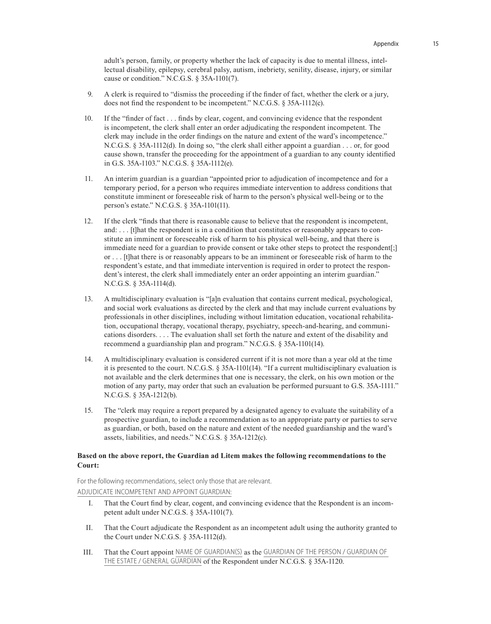adult's person, family, or property whether the lack of capacity is due to mental illness, intellectual disability, epilepsy, cerebral palsy, autism, inebriety, senility, disease, injury, or similar cause or condition." N.C.G.S. § 35A-1101(7).

- 9. A clerk is required to "dismiss the proceeding if the finder of fact, whether the clerk or a jury, does not find the respondent to be incompetent." N.C.G.S. § 35A-1112(c).
- 10. If the "finder of fact . . . finds by clear, cogent, and convincing evidence that the respondent is incompetent, the clerk shall enter an order adjudicating the respondent incompetent. The clerk may include in the order findings on the nature and extent of the ward's incompetence." N.C.G.S. § 35A-1112(d). In doing so, "the clerk shall either appoint a guardian . . . or, for good cause shown, transfer the proceeding for the appointment of a guardian to any county identified in G.S. 35A-1103." N.C.G.S. § 35A-1112(e).
- 11. An interim guardian is a guardian "appointed prior to adjudication of incompetence and for a temporary period, for a person who requires immediate intervention to address conditions that constitute imminent or foreseeable risk of harm to the person's physical well-being or to the person's estate." N.C.G.S. § 35A-1101(11).
- 12. If the clerk "finds that there is reasonable cause to believe that the respondent is incompetent, and: . . . [t]hat the respondent is in a condition that constitutes or reasonably appears to constitute an imminent or foreseeable risk of harm to his physical well-being, and that there is immediate need for a guardian to provide consent or take other steps to protect the respondent[;] or . . . [t]hat there is or reasonably appears to be an imminent or foreseeable risk of harm to the respondent's estate, and that immediate intervention is required in order to protect the respondent's interest, the clerk shall immediately enter an order appointing an interim guardian." N.C.G.S. § 35A-1114(d).
- 13. A multidisciplinary evaluation is "[a]n evaluation that contains current medical, psychological, and social work evaluations as directed by the clerk and that may include current evaluations by professionals in other disciplines, including without limitation education, vocational rehabilitation, occupational therapy, vocational therapy, psychiatry, speech-and-hearing, and communications disorders. . . . The evaluation shall set forth the nature and extent of the disability and recommend a guardianship plan and program." N.C.G.S. § 35A-1101(14).
- 14. A multidisciplinary evaluation is considered current if it is not more than a year old at the time it is presented to the court. N.C.G.S. § 35A-1101(14). "If a current multidisciplinary evaluation is not available and the clerk determines that one is necessary, the clerk, on his own motion or the motion of any party, may order that such an evaluation be performed pursuant to G.S. 35A-1111." N.C.G.S. § 35A-1212(b).
- 15. The "clerk may require a report prepared by a designated agency to evaluate the suitability of a prospective guardian, to include a recommendation as to an appropriate party or parties to serve as guardian, or both, based on the nature and extent of the needed guardianship and the ward's assets, liabilities, and needs." N.C.G.S. § 35A-1212(c).

### **Based on the above report, the Guardian ad Litem makes the following recommendations to the Court:**

For the following recommendations, select only those that are relevant. ADJUDICATE INCOMPETENT AND APPOINT GUARDIAN:

- I. That the Court find by clear, cogent, and convincing evidence that the Respondent is an incompetent adult under N.C.G.S. § 35A-1101(7).
- II. That the Court adjudicate the Respondent as an incompetent adult using the authority granted to the Court under N.C.G.S. § 35A-1112(d).
- III. That the Court appoint NAME OF GUARDIAN(S) as the GUARDIAN OF THE PERSON / GUARDIAN OF THE ESTATE / GENERAL GUARDIAN of the Respondent under N.C.G.S. § 35A-1120.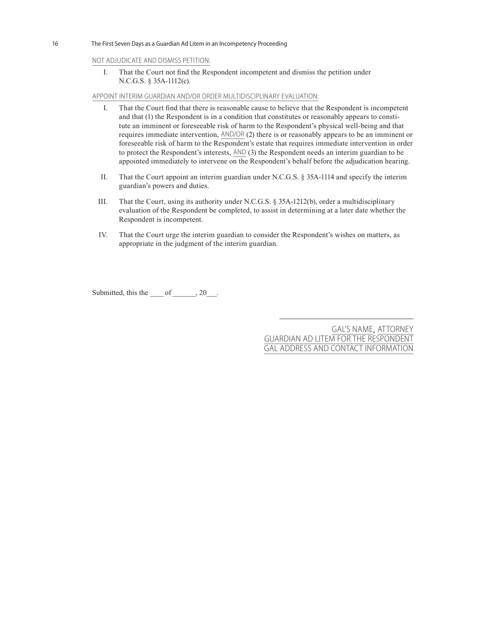16 The First Seven Days as a Guardian Ad Litem in an Incompetency Proceeding

### NOT ADJUDICATE AND DISMISS PETITION:

I. That the Court not find the Respondent incompetent and dismiss the petition under N.C.G.S. § 35A-1112(c).

APPOINT INTERIM GUARDIAN AND/OR ORDER MULTIDISCIPLINARY EVALUATION:

- I. That the Court find that there is reasonable cause to believe that the Respondent is incompetent and that (1) the Respondent is in a condition that constitutes or reasonably appears to constitute an imminent or foreseeable risk of harm to the Respondent's physical well-being and that requires immediate intervention, AND/OR (2) there is or reasonably appears to be an imminent or foreseeable risk of harm to the Respondent's estate that requires immediate intervention in order to protect the Respondent's interests, AND (3) the Respondent needs an interim guardian to be appointed immediately to intervene on the Respondent's behalf before the adjudication hearing.
- II. That the Court appoint an interim guardian under N.C.G.S. § 35A-1114 and specify the interim guardian's powers and duties.
- III. That the Court, using its authority under N.C.G.S. § 35A-1212(b), order a multidisciplinary evaluation of the Respondent be completed, to assist in determining at a later date whether the Respondent is incompetent.
- IV. That the Court urge the interim guardian to consider the Respondent's wishes on matters, as appropriate in the judgment of the interim guardian.

Submitted, this the of , 20.

GAL'S NAME, ATTORNEY GUARDIAN AD LITEM FOR THE RESPONDENT GAL ADDRESS AND CONTACT INFORMATION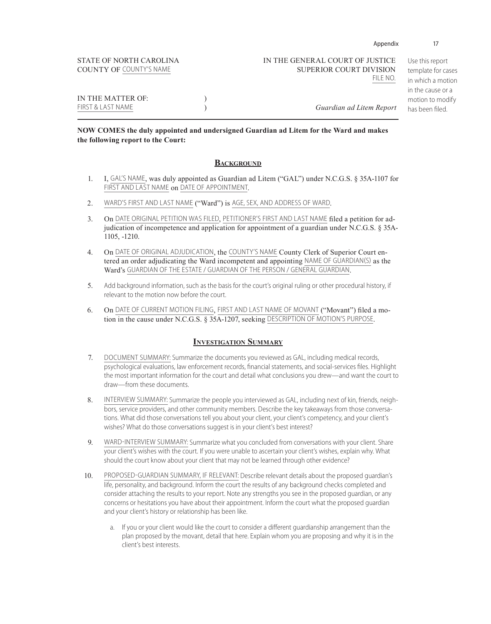| STATE OF NORTH CAROLINA<br><b>COUNTY OF COUNTY'S NAME</b> | IN THE GENERAL COURT OF JUSTICE<br><b>SUPERIOR COURT DIVISION</b><br>FILE NO. | Use this report<br>template for cases<br>in which a motion<br>in the cause or a |
|-----------------------------------------------------------|-------------------------------------------------------------------------------|---------------------------------------------------------------------------------|
| IN THE MATTER OF:<br>FIRST & LAST NAME                    | Guardian ad Litem Report                                                      | motion to modify<br>has been filed.                                             |

Appendix 17

### **NOW COMES the duly appointed and undersigned Guardian ad Litem for the Ward and makes the following report to the Court:**

### **BACKGROUND**

- 1. I, GAL'S NAME, was duly appointed as Guardian ad Litem ("GAL") under N.C.G.S. § 35A-1107 for FIRST AND LAST NAME on DATE OF APPOINTMENT.
- 2. WARD'S FIRST AND LAST NAME ("Ward") is AGE, SEX, AND ADDRESS OF WARD.
- 3. On DATE ORIGINAL PETITION WAS FILED, PETITIONER'S FIRST AND LAST NAME filed a petition for adjudication of incompetence and application for appointment of a guardian under N.C.G.S. § 35A-1105, -1210.
- 4. On DATE OF ORIGINAL ADJUDICATION, the COUNTY'S NAME County Clerk of Superior Court entered an order adjudicating the Ward incompetent and appointing NAME OF GUARDIAN(S) as the Ward's GUARDIAN OF THE ESTATE / GUARDIAN OF THE PERSON / GENERAL GUARDIAN.
- 5. Add background information, such as the basis for the court's original ruling or other procedural history, if relevant to the motion now before the court.
- 6. On DATE OF CURRENT MOTION FILING, FIRST AND LAST NAME OF MOVANT ("Movant") filed a motion in the cause under N.C.G.S. § 35A-1207, seeking DESCRIPTION OF MOTION'S PURPOSE.

### **Investigation Summary**

- 7. DOCUMENT SUMMARY: Summarize the documents you reviewed as GAL, including medical records, psychological evaluations, law enforcement records, financial statements, and social-services files. Highlight the most important information for the court and detail what conclusions you drew—and want the court to draw—from these documents.
- 8. INTERVIEW SUMMARY: Summarize the people you interviewed as GAL, including next of kin, friends, neighbors, service providers, and other community members. Describe the key takeaways from those conversations. What did those conversations tell you about your client, your client's competency, and your client's wishes? What do those conversations suggest is in your client's best interest?
- 9. WARD-INTERVIEW SUMMARY: Summarize what you concluded from conversations with your client. Share your client's wishes with the court. If you were unable to ascertain your client's wishes, explain why. What should the court know about your client that may not be learned through other evidence?
- 10. PROPOSED-GUARDIAN SUMMARY, IF RELEVANT: Describe relevant details about the proposed guardian's life, personality, and background. Inform the court the results of any background checks completed and consider attaching the results to your report. Note any strengths you see in the proposed guardian, or any concerns or hesitations you have about their appointment. Inform the court what the proposed guardian and your client's history or relationship has been like.
	- a. If you or your client would like the court to consider a different guardianship arrangement than the plan proposed by the movant, detail that here. Explain whom you are proposing and why it is in the client's best interests.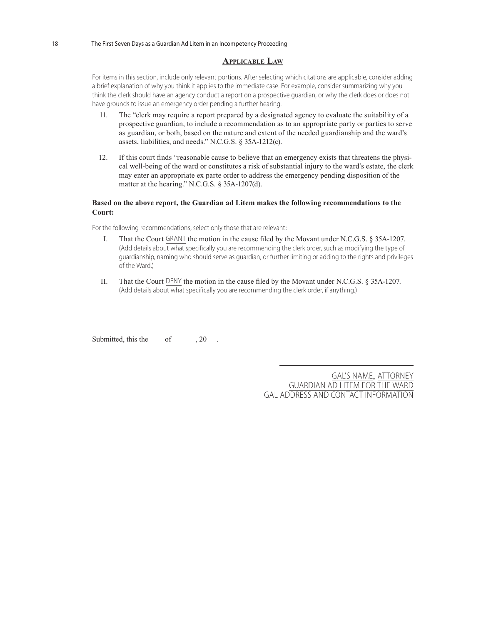### **Applicable Law**

For items in this section, include only relevant portions. After selecting which citations are applicable, consider adding a brief explanation of why you think it applies to the immediate case. For example, consider summarizing why you think the clerk should have an agency conduct a report on a prospective guardian, or why the clerk does or does not have grounds to issue an emergency order pending a further hearing.

- 11. The "clerk may require a report prepared by a designated agency to evaluate the suitability of a prospective guardian, to include a recommendation as to an appropriate party or parties to serve as guardian, or both, based on the nature and extent of the needed guardianship and the ward's assets, liabilities, and needs." N.C.G.S. § 35A-1212(c).
- 12. If this court finds "reasonable cause to believe that an emergency exists that threatens the physical well-being of the ward or constitutes a risk of substantial injury to the ward's estate, the clerk may enter an appropriate ex parte order to address the emergency pending disposition of the matter at the hearing." N.C.G.S. § 35A-1207(d).

### **Based on the above report, the Guardian ad Litem makes the following recommendations to the Court:**

For the following recommendations, select only those that are relevant:

- I. That the Court GRANT the motion in the cause filed by the Movant under N.C.G.S. § 35A-1207. (Add details about what specifically you are recommending the clerk order, such as modifying the type of guardianship, naming who should serve as guardian, or further limiting or adding to the rights and privileges of the Ward.)
- II. That the Court DENY the motion in the cause filed by the Movant under N.C.G.S. § 35A-1207. (Add details about what specifically you are recommending the clerk order, if anything.)

Submitted, this the  $\qquad \text{of} \qquad 20$ .

GAL'S NAME, ATTORNEY GUARDIAN AD LITEM FOR THE WARD GAL ADDRESS AND CONTACT INFORMATION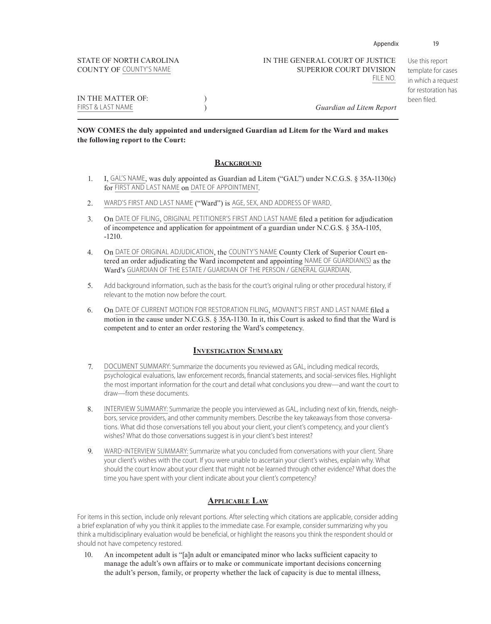COUNTY OF COUNTY'S NAME SUPERIOR COURT DIVISION

Use this report template for cases in which a request for restoration has been filed.

IN THE MATTER OF:  $)$ FIRST & LAST NAME ) *Guardian ad Litem Report*

### **NOW COMES the duly appointed and undersigned Guardian ad Litem for the Ward and makes the following report to the Court:**

### **BACKGROUND**

- 1. I, GAL'S NAME, was duly appointed as Guardian ad Litem ("GAL") under N.C.G.S. § 35A-1130(c) for FIRST AND LAST NAME on DATE OF APPOINTMENT.
- 2. WARD'S FIRST AND LAST NAME ("Ward") is AGE, SEX, AND ADDRESS OF WARD.
- 3. On DATE OF FILING, ORIGINAL PETITIONER'S FIRST AND LAST NAME filed a petition for adjudication of incompetence and application for appointment of a guardian under N.C.G.S. § 35A-1105, -1210.
- 4. On DATE OF ORIGINAL ADJUDICATION, the COUNTY'S NAME County Clerk of Superior Court entered an order adjudicating the Ward incompetent and appointing NAME OF GUARDIAN(S) as the Ward's GUARDIAN OF THE ESTATE / GUARDIAN OF THE PERSON / GENERAL GUARDIAN.
- 5. Add background information, such as the basis for the court's original ruling or other procedural history, if relevant to the motion now before the court.
- 6. On DATE OF CURRENT MOTION FOR RESTORATION FILING, MOVANT'S FIRST AND LAST NAME filed a motion in the cause under N.C.G.S. § 35A-1130. In it, this Court is asked to find that the Ward is competent and to enter an order restoring the Ward's competency.

### **Investigation Summary**

- 7. DOCUMENT SUMMARY: Summarize the documents you reviewed as GAL, including medical records, psychological evaluations, law enforcement records, financial statements, and social-services files. Highlight the most important information for the court and detail what conclusions you drew—and want the court to draw—from these documents.
- 8. INTERVIEW SUMMARY: Summarize the people you interviewed as GAL, including next of kin, friends, neighbors, service providers, and other community members. Describe the key takeaways from those conversations. What did those conversations tell you about your client, your client's competency, and your client's wishes? What do those conversations suggest is in your client's best interest?
- 9. WARD-INTERVIEW SUMMARY: Summarize what you concluded from conversations with your client. Share your client's wishes with the court. If you were unable to ascertain your client's wishes, explain why. What should the court know about your client that might not be learned through other evidence? What does the time you have spent with your client indicate about your client's competency?

### **Applicable Law**

For items in this section, include only relevant portions. After selecting which citations are applicable, consider adding a brief explanation of why you think it applies to the immediate case. For example, consider summarizing why you think a multidisciplinary evaluation would be beneficial, or highlight the reasons you think the respondent should or should not have competency restored.

10. An incompetent adult is "[a]n adult or emancipated minor who lacks sufficient capacity to manage the adult's own affairs or to make or communicate important decisions concerning the adult's person, family, or property whether the lack of capacity is due to mental illness,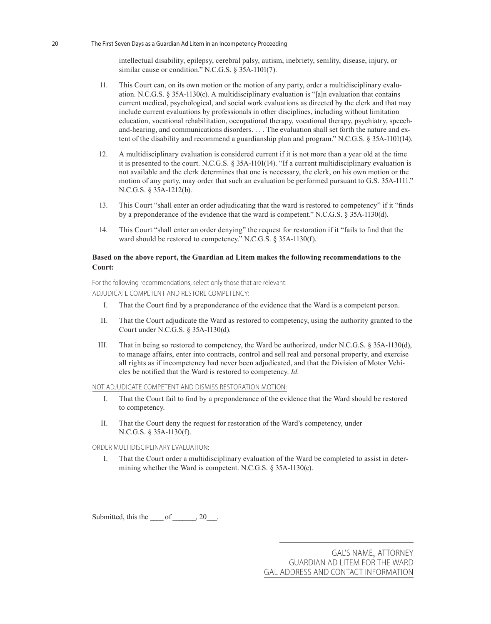intellectual disability, epilepsy, cerebral palsy, autism, inebriety, senility, disease, injury, or similar cause or condition." N.C.G.S. § 35A-1101(7).

- 11. This Court can, on its own motion or the motion of any party, order a multidisciplinary evaluation. N.C.G.S. § 35A-1130(c). A multidisciplinary evaluation is "[a]n evaluation that contains current medical, psychological, and social work evaluations as directed by the clerk and that may include current evaluations by professionals in other disciplines, including without limitation education, vocational rehabilitation, occupational therapy, vocational therapy, psychiatry, speechand-hearing, and communications disorders. . . . The evaluation shall set forth the nature and extent of the disability and recommend a guardianship plan and program." N.C.G.S. § 35A-1101(14).
- 12. A multidisciplinary evaluation is considered current if it is not more than a year old at the time it is presented to the court. N.C.G.S. § 35A-1101(14). "If a current multidisciplinary evaluation is not available and the clerk determines that one is necessary, the clerk, on his own motion or the motion of any party, may order that such an evaluation be performed pursuant to G.S. 35A-1111." N.C.G.S. § 35A-1212(b).
- 13. This Court "shall enter an order adjudicating that the ward is restored to competency" if it "finds by a preponderance of the evidence that the ward is competent." N.C.G.S. § 35A-1130(d).
- 14. This Court "shall enter an order denying" the request for restoration if it "fails to find that the ward should be restored to competency." N.C.G.S. § 35A-1130(f).

### **Based on the above report, the Guardian ad Litem makes the following recommendations to the Court:**

For the following recommendations, select only those that are relevant: ADJUDICATE COMPETENT AND RESTORE COMPETENCY:

- I. That the Court find by a preponderance of the evidence that the Ward is a competent person.
- II. That the Court adjudicate the Ward as restored to competency, using the authority granted to the Court under N.C.G.S. § 35A-1130(d).
- III. That in being so restored to competency, the Ward be authorized, under N.C.G.S. § 35A-1130(d), to manage affairs, enter into contracts, control and sell real and personal property, and exercise all rights as if incompetency had never been adjudicated, and that the Division of Motor Vehicles be notified that the Ward is restored to competency. *Id.*

### NOT ADJUDICATE COMPETENT AND DISMISS RESTORATION MOTION:

- I. That the Court fail to find by a preponderance of the evidence that the Ward should be restored to competency.
- II. That the Court deny the request for restoration of the Ward's competency, under N.C.G.S. § 35A-1130(f).

### ORDER MULTIDISCIPLINARY EVALUATION:

I. That the Court order a multidisciplinary evaluation of the Ward be completed to assist in determining whether the Ward is competent. N.C.G.S. § 35A-1130(c).

Submitted, this the  $\_\_\$  of  $\_\_\_$ , 20 $\_\_\_\$ .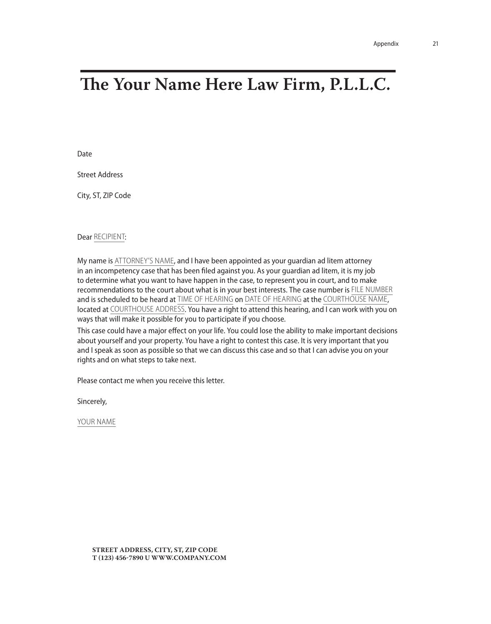## **The Your Name Here Law Firm, P.L.L.C.**

Date

Street Address

City, ST, ZIP Code

#### Dear RECIPIENT:

My name is ATTORNEY'S NAME, and I have been appointed as your guardian ad litem attorney in an incompetency case that has been filed against you. As your guardian ad litem, it is my job to determine what you want to have happen in the case, to represent you in court, and to make recommendations to the court about what is in your best interests. The case number is FILE NUMBER and is scheduled to be heard at TIME OF HEARING on DATE OF HEARING at the COURTHOUSE NAME, located at COURTHOUSE ADDRESS. You have a right to attend this hearing, and I can work with you on ways that will make it possible for you to participate if you choose.

This case could have a major effect on your life. You could lose the ability to make important decisions about yourself and your property. You have a right to contest this case. It is very important that you and I speak as soon as possible so that we can discuss this case and so that I can advise you on your rights and on what steps to take next.

Please contact me when you receive this letter.

Sincerely,

YOUR NAME